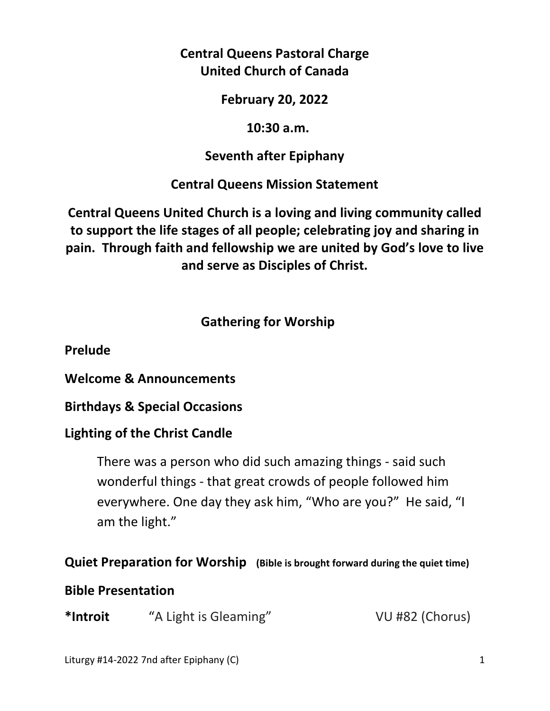**Central Queens Pastoral Charge United Church of Canada** 

**February 20, 2022** 

 **10:30 a.m.** 

## **Seventh after Epiphany**

**Central Queens Mission Statement** 

**Central Queens United Church is a loving and living community called to support the life stages of all people; celebrating joy and sharing in pain. Through faith and fellowship we are united by God's love to live and serve as Disciples of Christ.**

# **Gathering for Worship**

**Prelude** 

**Welcome & Announcements** 

**Birthdays & Special Occasions** 

# **Lighting of the Christ Candle**

There was a person who did such amazing things - said such wonderful things - that great crowds of people followed him everywhere. One day they ask him, "Who are you?" He said, "I am the light."

# **Quiet Preparation for Worship (Bible is brought forward during the quiet time)**

# **Bible Presentation**

**\*Introit** "A Light is Gleaming" VU #82 (Chorus)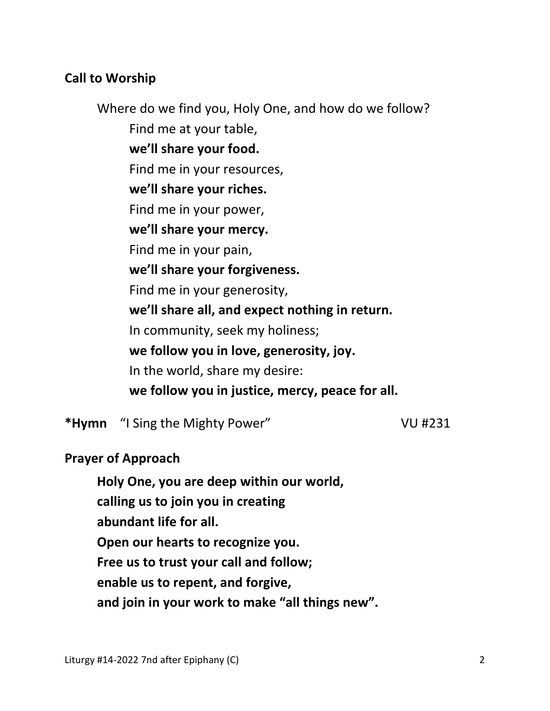### **Call to Worship**

 Where do we find you, Holy One, and how do we follow? Find me at your table,  **we'll share your food.** Find me in your resources,  **we'll share your riches.** Find me in your power,  **we'll share your mercy.** Find me in your pain,  **we'll share your forgiveness.** Find me in your generosity,  **we'll share all, and expect nothing in return.** In community, seek my holiness;  **we follow you in love, generosity, joy.** In the world, share my desire:  **we follow you in justice, mercy, peace for all.**

\*Hymn "I Sing the Mighty Power" VU #231

### **Prayer of Approach**

 **Holy One, you are deep within our world, calling us to join you in creating abundant life for all. Open our hearts to recognize you. Free us to trust your call and follow; enable us to repent, and forgive, and join in your work to make "all things new".**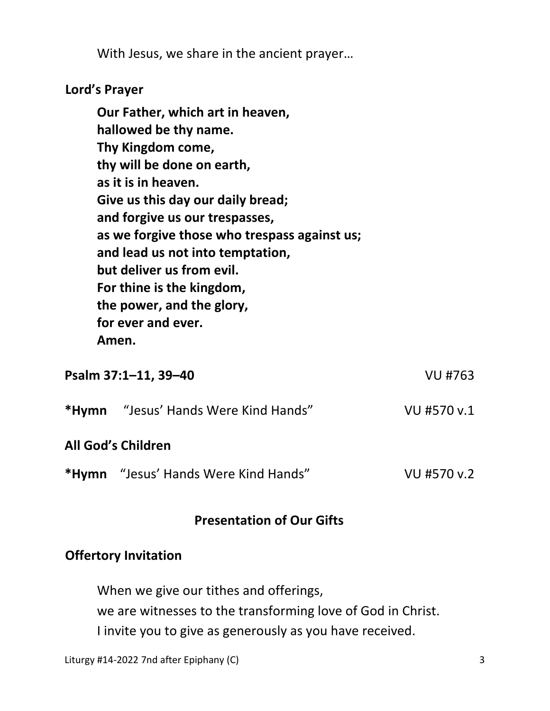With Jesus, we share in the ancient prayer…

#### **Lord's Prayer**

| Our Father, which art in heaven,             |
|----------------------------------------------|
| hallowed be thy name.                        |
| Thy Kingdom come,                            |
| thy will be done on earth,                   |
| as it is in heaven.                          |
| Give us this day our daily bread;            |
| and forgive us our trespasses,               |
| as we forgive those who trespass against us; |
| and lead us not into temptation,             |
| but deliver us from evil.                    |
| For thine is the kingdom,                    |
| the power, and the glory,                    |
| for ever and ever.                           |
| Amen.                                        |
|                                              |

| Psalm 37:1-11, 39-40      |                                             | VU #763     |  |
|---------------------------|---------------------------------------------|-------------|--|
|                           | <b>*Hymn</b> "Jesus' Hands Were Kind Hands" | VU #570 v.1 |  |
| <b>All God's Children</b> |                                             |             |  |
|                           | <b>*Hymn</b> "Jesus' Hands Were Kind Hands" | VU #570 v.2 |  |

### **Presentation of Our Gifts**

## **Offertory Invitation**

 When we give our tithes and offerings, we are witnesses to the transforming love of God in Christ. I invite you to give as generously as you have received.

#### Liturgy #14-2022 7nd after Epiphany (C) 3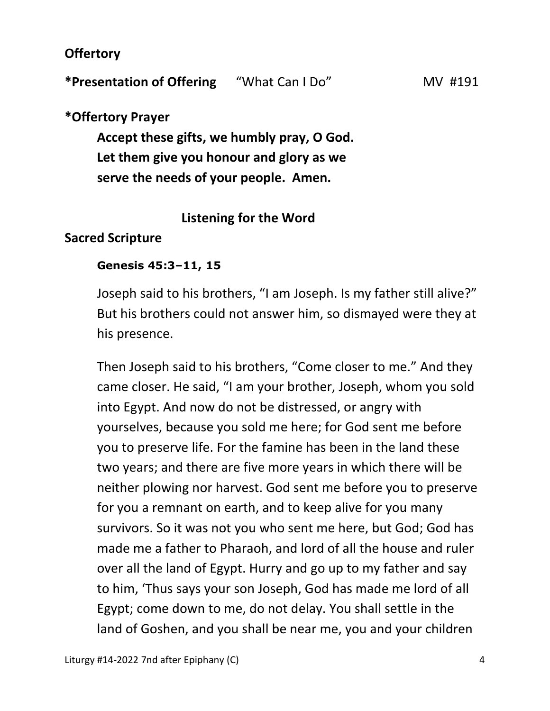**Offertory** 

**\*Presentation of Offering** "What Can I Do" MV #191

### **\*Offertory Prayer**

 **Accept these gifts, we humbly pray, O God. Let them give you honour and glory as we serve the needs of your people. Amen.** 

#### **Listening for the Word**

#### **Sacred Scripture**

#### **Genesis 45:3–11, 15**

Joseph said to his brothers, "I am Joseph. Is my father still alive?" But his brothers could not answer him, so dismayed were they at his presence.

Then Joseph said to his brothers, "Come closer to me." And they came closer. He said, "I am your brother, Joseph, whom you sold into Egypt. And now do not be distressed, or angry with yourselves, because you sold me here; for God sent me before you to preserve life. For the famine has been in the land these two years; and there are five more years in which there will be neither plowing nor harvest. God sent me before you to preserve for you a remnant on earth, and to keep alive for you many survivors. So it was not you who sent me here, but God; God has made me a father to Pharaoh, and lord of all the house and ruler over all the land of Egypt. Hurry and go up to my father and say to him, 'Thus says your son Joseph, God has made me lord of all Egypt; come down to me, do not delay. You shall settle in the land of Goshen, and you shall be near me, you and your children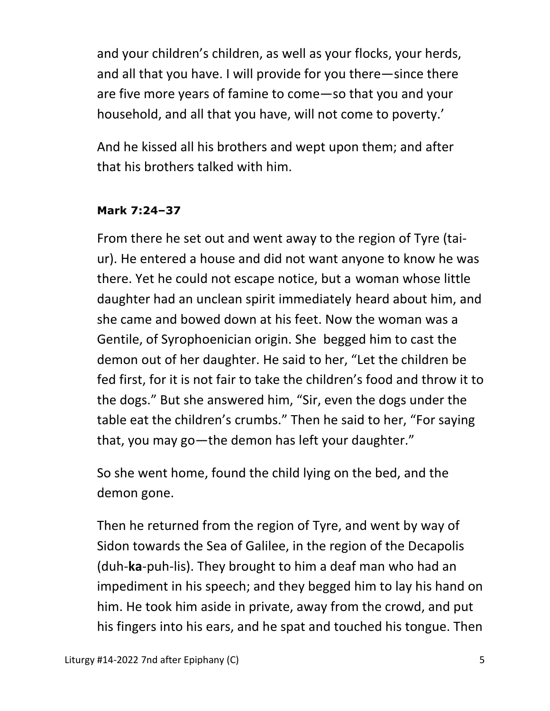and your children's children, as well as your flocks, your herds, and all that you have. I will provide for you there—since there are five more years of famine to come—so that you and your household, and all that you have, will not come to poverty.'

And he kissed all his brothers and wept upon them; and after that his brothers talked with him.

#### **Mark 7:24–37**

From there he set out and went away to the region of Tyre (taiur). He entered a house and did not want anyone to know he was there. Yet he could not escape notice, but a woman whose little daughter had an unclean spirit immediately heard about him, and she came and bowed down at his feet. Now the woman was a Gentile, of Syrophoenician origin. She begged him to cast the demon out of her daughter. He said to her, "Let the children be fed first, for it is not fair to take the children's food and throw it to the dogs." But she answered him, "Sir, even the dogs under the table eat the children's crumbs." Then he said to her, "For saying that, you may go—the demon has left your daughter."

 So she went home, found the child lying on the bed, and the demon gone.

Then he returned from the region of Tyre, and went by way of Sidon towards the Sea of Galilee, in the region of the Decapolis (duh-**ka**-puh-lis). They brought to him a deaf man who had an impediment in his speech; and they begged him to lay his hand on him. He took him aside in private, away from the crowd, and put his fingers into his ears, and he spat and touched his tongue. Then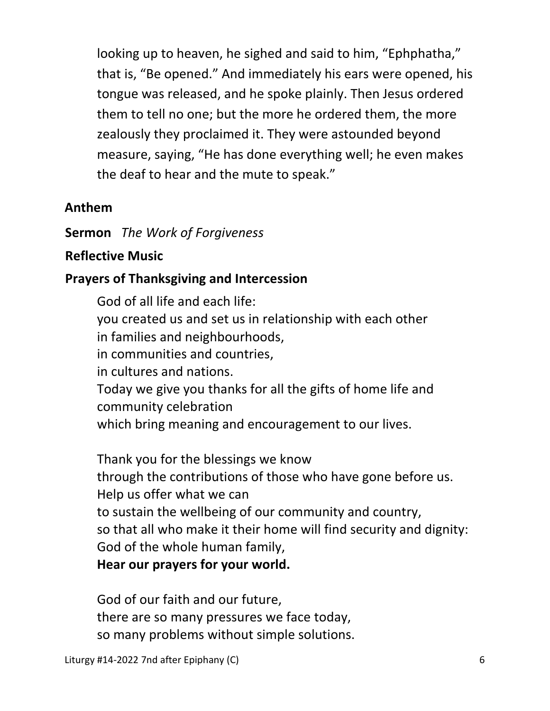looking up to heaven, he sighed and said to him, "Ephphatha," that is, "Be opened." And immediately his ears were opened, his tongue was released, and he spoke plainly. Then Jesus ordered them to tell no one; but the more he ordered them, the more zealously they proclaimed it. They were astounded beyond measure, saying, "He has done everything well; he even makes the deaf to hear and the mute to speak."

### **Anthem**

**Sermon** *The Work of Forgiveness* 

#### **Reflective Music**

#### **Prayers of Thanksgiving and Intercession**

 God of all life and each life: you created us and set us in relationship with each other in families and neighbourhoods, in communities and countries, in cultures and nations. Today we give you thanks for all the gifts of home life and community celebration which bring meaning and encouragement to our lives.

 Thank you for the blessings we know through the contributions of those who have gone before us. Help us offer what we can to sustain the wellbeing of our community and country, so that all who make it their home will find security and dignity: God of the whole human family,  **Hear our prayers for your world.** 

 God of our faith and our future, there are so many pressures we face today, so many problems without simple solutions.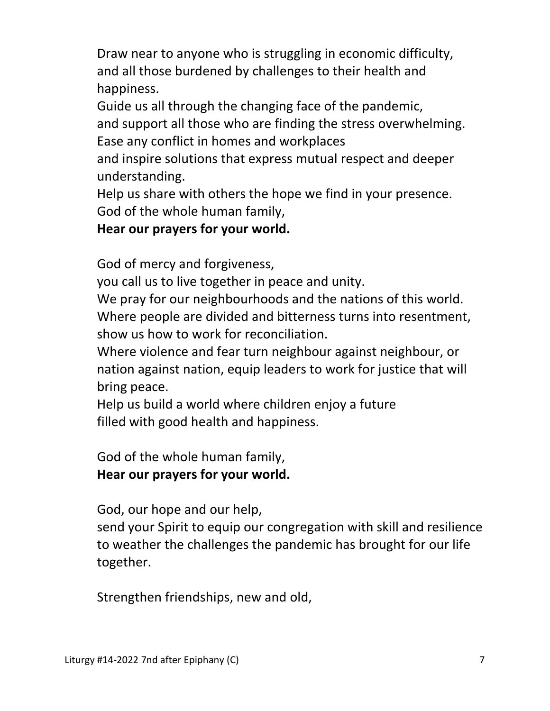Draw near to anyone who is struggling in economic difficulty, and all those burdened by challenges to their health and happiness.

Guide us all through the changing face of the pandemic,

 and support all those who are finding the stress overwhelming. Ease any conflict in homes and workplaces

 and inspire solutions that express mutual respect and deeper understanding.

 Help us share with others the hope we find in your presence. God of the whole human family,

# **Hear our prayers for your world.**

God of mercy and forgiveness,

you call us to live together in peace and unity.

 We pray for our neighbourhoods and the nations of this world. Where people are divided and bitterness turns into resentment, show us how to work for reconciliation.

 Where violence and fear turn neighbour against neighbour, or nation against nation, equip leaders to work for justice that will bring peace.

 Help us build a world where children enjoy a future filled with good health and happiness.

 God of the whole human family,  **Hear our prayers for your world.** 

God, our hope and our help,

 send your Spirit to equip our congregation with skill and resilience to weather the challenges the pandemic has brought for our life together.

Strengthen friendships, new and old,